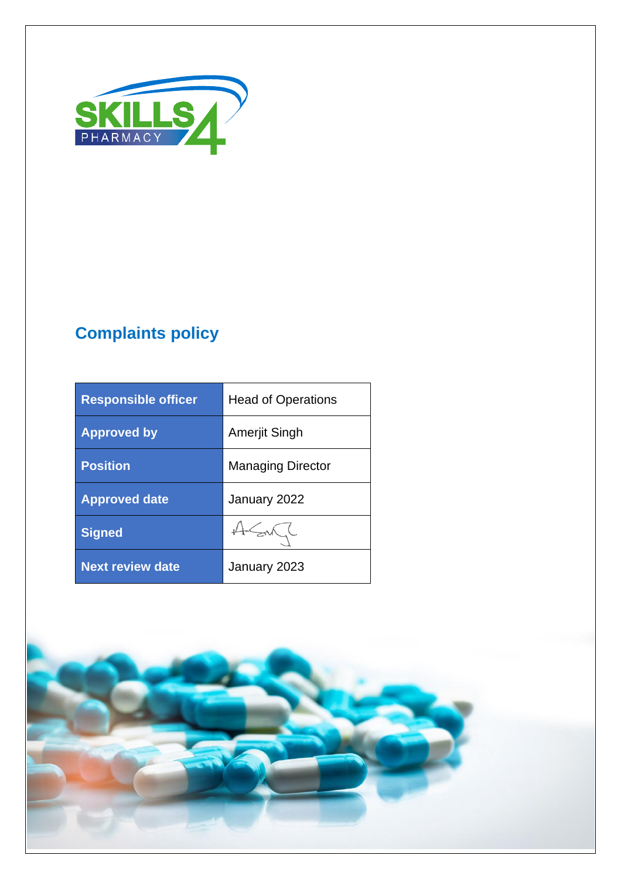

# **Complaints policy**

| <b>Responsible officer</b> | <b>Head of Operations</b> |
|----------------------------|---------------------------|
| <b>Approved by</b>         | Amerjit Singh             |
| <b>Position</b>            | <b>Managing Director</b>  |
| <b>Approved date</b>       | January 2022              |
| <b>Signed</b>              | 45/                       |
| <b>Next review date</b>    | January 2023              |

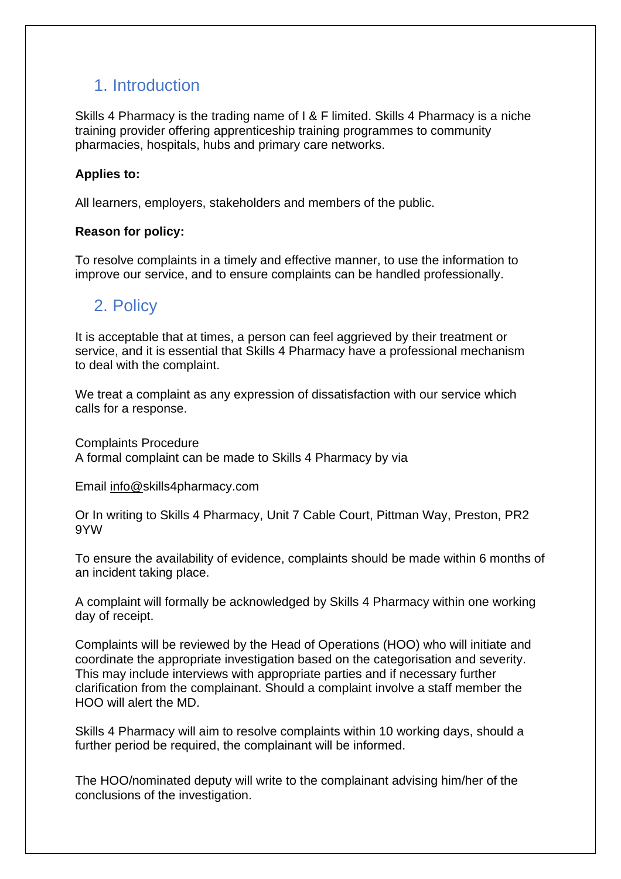## 1. Introduction

Skills 4 Pharmacy is the trading name of I & F limited. Skills 4 Pharmacy is a niche training provider offering apprenticeship training programmes to community pharmacies, hospitals, hubs and primary care networks.

### **Applies to:**

All learners, employers, stakeholders and members of the public.

### **Reason for policy:**

To resolve complaints in a timely and effective manner, to use the information to improve our service, and to ensure complaints can be handled professionally.

### 2. Policy

It is acceptable that at times, a person can feel aggrieved by their treatment or service, and it is essential that Skills 4 Pharmacy have a professional mechanism to deal with the complaint.

We treat a complaint as any expression of dissatisfaction with our service which calls for a response.

Complaints Procedure A formal complaint can be made to Skills 4 Pharmacy by via

Email [info@s](mailto:info@)kills4pharmacy.com

Or In writing to Skills 4 Pharmacy, Unit 7 Cable Court, Pittman Way, Preston, PR2 9YW

To ensure the availability of evidence, complaints should be made within 6 months of an incident taking place.

A complaint will formally be acknowledged by Skills 4 Pharmacy within one working day of receipt.

Complaints will be reviewed by the Head of Operations (HOO) who will initiate and coordinate the appropriate investigation based on the categorisation and severity. This may include interviews with appropriate parties and if necessary further clarification from the complainant. Should a complaint involve a staff member the HOO will alert the MD.

Skills 4 Pharmacy will aim to resolve complaints within 10 working days, should a further period be required, the complainant will be informed.

The HOO/nominated deputy will write to the complainant advising him/her of the conclusions of the investigation.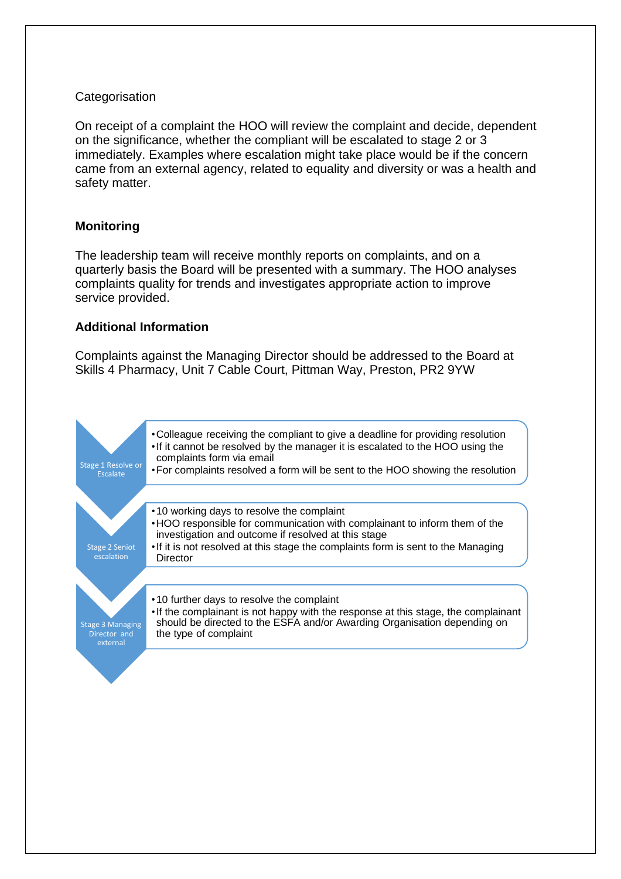#### **Categorisation**

On receipt of a complaint the HOO will review the complaint and decide, dependent on the significance, whether the compliant will be escalated to stage 2 or 3 immediately. Examples where escalation might take place would be if the concern came from an external agency, related to equality and diversity or was a health and safety matter.

### **Monitoring**

The leadership team will receive monthly reports on complaints, and on a quarterly basis the Board will be presented with a summary. The HOO analyses complaints quality for trends and investigates appropriate action to improve service provided.

#### **Additional Information**

Complaints against the Managing Director should be addressed to the Board at Skills 4 Pharmacy, Unit 7 Cable Court, Pittman Way, Preston, PR2 9YW